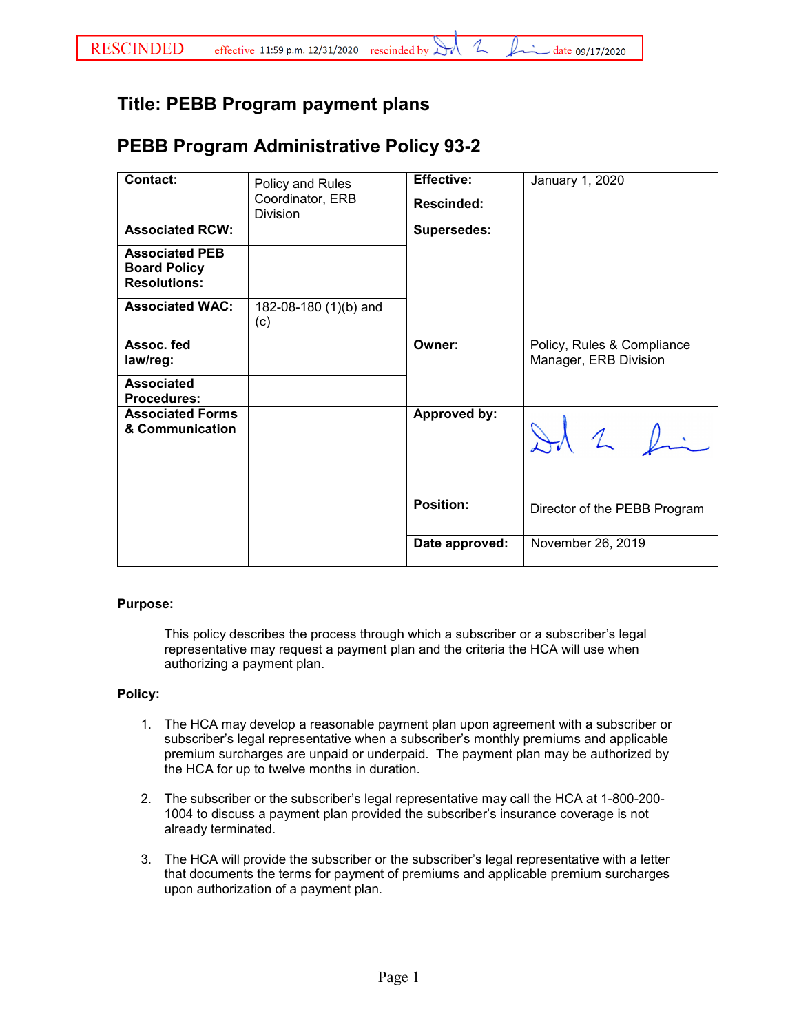## **Title: PEBB Program payment plans**

## **PEBB Program Administrative Policy 93-2**

| <b>Contact:</b>                                                     | Policy and Rules<br>Coordinator, ERB<br><b>Division</b> | <b>Effective:</b>   | January 1, 2020                                     |
|---------------------------------------------------------------------|---------------------------------------------------------|---------------------|-----------------------------------------------------|
|                                                                     |                                                         | <b>Rescinded:</b>   |                                                     |
| <b>Associated RCW:</b>                                              |                                                         | <b>Supersedes:</b>  |                                                     |
| <b>Associated PEB</b><br><b>Board Policy</b><br><b>Resolutions:</b> |                                                         |                     |                                                     |
| <b>Associated WAC:</b>                                              | 182-08-180 (1)(b) and<br>(c)                            |                     |                                                     |
| Assoc. fed<br>law/reg:                                              |                                                         | Owner:              | Policy, Rules & Compliance<br>Manager, ERB Division |
| <b>Associated</b><br><b>Procedures:</b>                             |                                                         |                     |                                                     |
| <b>Associated Forms</b><br>& Communication                          |                                                         | <b>Approved by:</b> | Id 2 fin                                            |
|                                                                     |                                                         | <b>Position:</b>    | Director of the PEBB Program                        |
|                                                                     |                                                         | Date approved:      | November 26, 2019                                   |

## **Purpose:**

This policy describes the process through which a subscriber or a subscriber's legal representative may request a payment plan and the criteria the HCA will use when authorizing a payment plan.

## **Policy:**

- 1. The HCA may develop a reasonable payment plan upon agreement with a subscriber or subscriber's legal representative when a subscriber's monthly premiums and applicable premium surcharges are unpaid or underpaid. The payment plan may be authorized by the HCA for up to twelve months in duration.
- 2. The subscriber or the subscriber's legal representative may call the HCA at 1-800-200- 1004 to discuss a payment plan provided the subscriber's insurance coverage is not already terminated.
- 3. The HCA will provide the subscriber or the subscriber's legal representative with a letter that documents the terms for payment of premiums and applicable premium surcharges upon authorization of a payment plan.